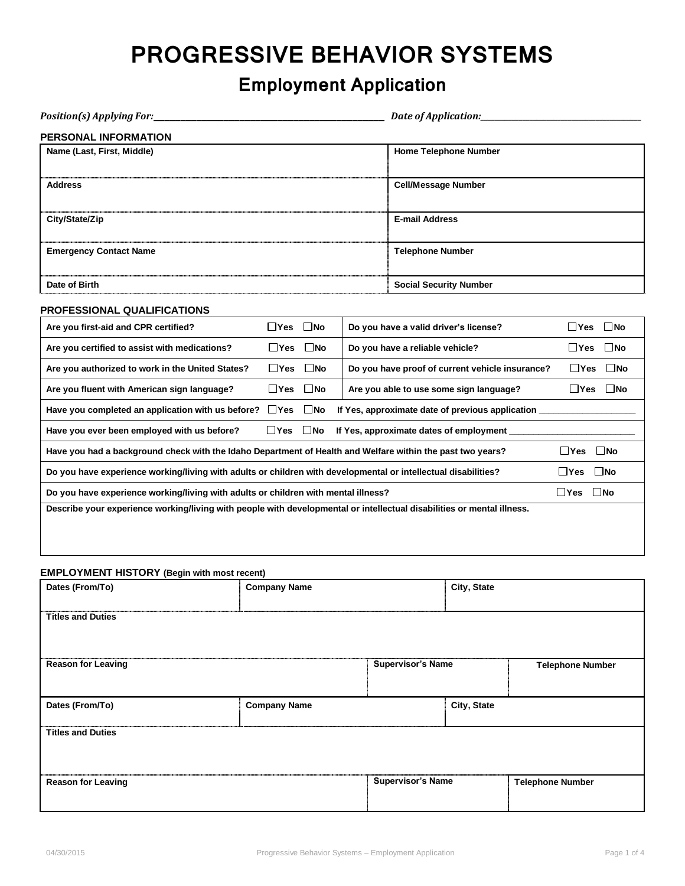## **PROGRESSIVE BEHAVIOR SYSTEMS**

## **Employment Application**

| <b>Position(s) Applying For:</b>                                                                                       |                                                                                                                                    |                      |  |                                                 | Date of Application:                                            |                                                               |  |
|------------------------------------------------------------------------------------------------------------------------|------------------------------------------------------------------------------------------------------------------------------------|----------------------|--|-------------------------------------------------|-----------------------------------------------------------------|---------------------------------------------------------------|--|
| <b>PERSONAL INFORMATION</b>                                                                                            |                                                                                                                                    |                      |  |                                                 |                                                                 |                                                               |  |
| Name (Last, First, Middle)                                                                                             |                                                                                                                                    |                      |  |                                                 | <b>Home Telephone Number</b>                                    |                                                               |  |
| <b>Address</b>                                                                                                         |                                                                                                                                    |                      |  | <b>Cell/Message Number</b>                      |                                                                 |                                                               |  |
| City/State/Zip                                                                                                         |                                                                                                                                    |                      |  | <b>E-mail Address</b>                           |                                                                 |                                                               |  |
| <b>Emergency Contact Name</b>                                                                                          |                                                                                                                                    |                      |  | <b>Telephone Number</b>                         |                                                                 |                                                               |  |
| Date of Birth                                                                                                          |                                                                                                                                    |                      |  | <b>Social Security Number</b>                   |                                                                 |                                                               |  |
| PROFESSIONAL QUALIFICATIONS                                                                                            |                                                                                                                                    |                      |  |                                                 |                                                                 |                                                               |  |
| Are you first-aid and CPR certified?                                                                                   | ΠYes                                                                                                                               | $\square$ No         |  | Do you have a valid driver's license?           |                                                                 | $\square$ No<br>⊟Yes                                          |  |
| Are you certified to assist with medications?                                                                          |                                                                                                                                    | $\Box$ Yes $\Box$ No |  | Do you have a reliable vehicle?                 |                                                                 | $\square$ No<br>$\Box$ Yes                                    |  |
| Are you authorized to work in the United States?                                                                       |                                                                                                                                    | $\Box$ Yes $\Box$ No |  | Do you have proof of current vehicle insurance? |                                                                 | $\square$ No<br>∐Yes                                          |  |
| Are you fluent with American sign language?                                                                            | ⊟Yes                                                                                                                               | $\square$ No         |  |                                                 | $\square$ No<br>Are you able to use some sign language?<br>∐Yes |                                                               |  |
| Have you completed an application with us before? $\Box$ Yes $\Box$ No                                                 |                                                                                                                                    |                      |  |                                                 |                                                                 | If Yes, approximate date of previous application ____________ |  |
| Have you ever been employed with us before?                                                                            | $\Box$ Yes $\Box$ No                                                                                                               |                      |  | If Yes, approximate dates of employment ______  |                                                                 |                                                               |  |
|                                                                                                                        | $\Box$ Yes $\Box$ No<br>Have you had a background check with the Idaho Department of Health and Welfare within the past two years? |                      |  |                                                 |                                                                 |                                                               |  |
| Do you have experience working/living with adults or children with developmental or intellectual disabilities?         |                                                                                                                                    |                      |  |                                                 |                                                                 | $\Box$ Yes $\Box$ No                                          |  |
| Do you have experience working/living with adults or children with mental illness?                                     |                                                                                                                                    |                      |  |                                                 |                                                                 | $\square$ No<br>$\Box$ Yes                                    |  |
| Describe your experience working/living with people with developmental or intellectual disabilities or mental illness. |                                                                                                                                    |                      |  |                                                 |                                                                 |                                                               |  |
| <b>EMPLOYMENT HISTORY (Begin with most recent)</b>                                                                     |                                                                                                                                    |                      |  |                                                 |                                                                 |                                                               |  |
| Dates (From/To)                                                                                                        | <b>Company Name</b>                                                                                                                |                      |  |                                                 | City, State                                                     |                                                               |  |
| <b>Titles and Duties</b>                                                                                               |                                                                                                                                    |                      |  |                                                 |                                                                 |                                                               |  |
| <b>Reason for Leaving</b>                                                                                              |                                                                                                                                    |                      |  | <b>Supervisor's Name</b>                        |                                                                 | <b>Telephone Number</b>                                       |  |
| Dates (From/To)                                                                                                        | <b>Company Name</b>                                                                                                                |                      |  |                                                 | City, State                                                     |                                                               |  |
| <b>Titles and Duties</b>                                                                                               |                                                                                                                                    |                      |  |                                                 |                                                                 |                                                               |  |

|                           | ,,,,,,,,,,,,,,,,,,,,,,,,<br>,,,,,,,,,,,,,,,,,,,,<br>. |                  |
|---------------------------|-------------------------------------------------------|------------------|
| <b>Reason for Leaving</b> | <b>Supervisor's Name</b>                              | Telephone Number |
|                           |                                                       |                  |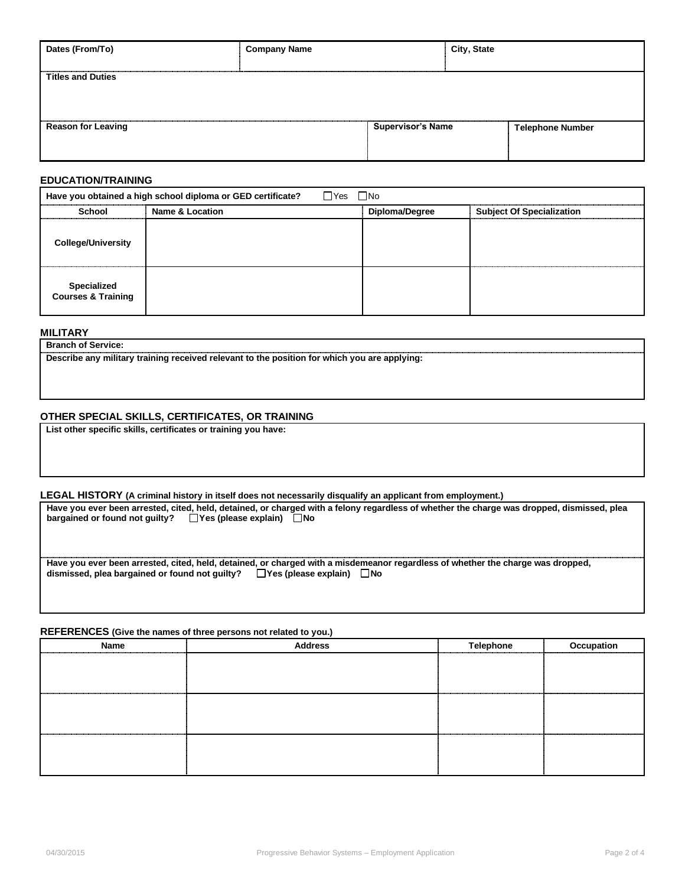| Dates (From/To)           | <b>Company Name</b> | City, State              |                         |  |
|---------------------------|---------------------|--------------------------|-------------------------|--|
|                           |                     |                          |                         |  |
| <b>Titles and Duties</b>  |                     |                          |                         |  |
|                           |                     |                          |                         |  |
|                           |                     |                          |                         |  |
| <b>Reason for Leaving</b> |                     | <b>Supervisor's Name</b> | <b>Telephone Number</b> |  |
|                           |                     |                          |                         |  |
|                           |                     |                          |                         |  |
|                           |                     |                          |                         |  |

### **EDUCATION/TRAINING**

| $\Box$ Yes $\Box$ No<br>Have you obtained a high school diploma or GED certificate? |                 |                |                                  |  |  |  |
|-------------------------------------------------------------------------------------|-----------------|----------------|----------------------------------|--|--|--|
| <b>School</b>                                                                       | Name & Location | Diploma/Degree | <b>Subject Of Specialization</b> |  |  |  |
| <b>College/University</b>                                                           |                 |                |                                  |  |  |  |
| <b>Specialized</b><br><b>Courses &amp; Training</b>                                 |                 |                |                                  |  |  |  |

### **MILITARY**

**Branch of Service:**

**Describe any military training received relevant to the position for which you are applying:** 

### **OTHER SPECIAL SKILLS, CERTIFICATES, OR TRAINING**

**List other specific skills, certificates or training you have:**

### **LEGAL HISTORY (A criminal history in itself does not necessarily disqualify an applicant from employment.)**

| Have you ever been arrested, cited, held, detained, or charged with a felony regardless of whether the charge was dropped, dismissed, plea |
|--------------------------------------------------------------------------------------------------------------------------------------------|
| $\Box$ Yes (please explain) $\Box$ No<br>bargained or found not quilty?                                                                    |
|                                                                                                                                            |
|                                                                                                                                            |
| Have you ever been arrested, cited, held, detained, or charged with a misdemeanor regardless of whether the charge was dropped,            |
| dismissed, plea bargained or found not quilty? $\Box$ Yes (please explain)<br>∏No                                                          |

### **REFERENCES (Give the names of three persons not related to you.)**

| <b>Name</b><br> | <b>Address</b> | <b>Telephone</b> | Occupation<br>. |
|-----------------|----------------|------------------|-----------------|
|                 |                |                  |                 |
|                 |                |                  |                 |
|                 |                |                  |                 |
|                 |                |                  |                 |
|                 |                |                  |                 |
|                 |                | .                |                 |
|                 |                |                  |                 |
|                 |                |                  |                 |
|                 |                |                  |                 |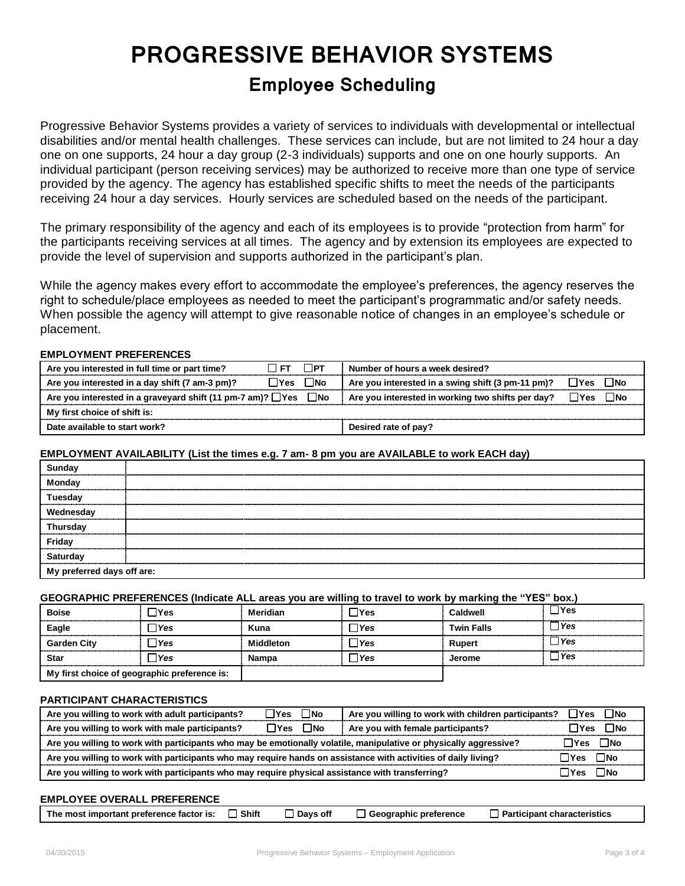# **PROGRESSIVE BEHAVIOR SYSTEMS**

### **Employee Scheduling**

Progressive Behavior Systems provides a variety of services to individuals with developmental or intellectual disabilities and/or mental health challenges. These services can include, but are not limited to 24 hour a day one on one supports, 24 hour a day group (2-3 individuals) supports and one on one hourly supports. An individual participant (person receiving services) may be authorized to receive more than one type of service provided by the agency. The agency has established specific shifts to meet the needs of the participants receiving 24 hour a day services. Hourly services are scheduled based on the needs of the participant.

The primary responsibility of the agency and each of its employees is to provide "protection from harm" for the participants receiving services at all times. The agency and by extension its employees are expected to provide the level of supervision and supports authorized in the participant's plan.

While the agency makes every effort to accommodate the employee's preferences, the agency reserves the right to schedule/place employees as needed to meet the participant's programmatic and/or safety needs. When possible the agency will attempt to give reasonable notice of changes in an employee's schedule or placement.

### **EMPLOYMENT PREFERENCES**

| Are you interested in full time or part time?                    | I FT.                | $\Box$ PT | Number of hours a week desired?                   |                      |
|------------------------------------------------------------------|----------------------|-----------|---------------------------------------------------|----------------------|
| Are you interested in a day shift (7 am-3 pm)?                   | $\Box$ Yes $\Box$ No |           | Are you interested in a swing shift (3 pm-11 pm)? | $\Box$ Yes $\Box$ No |
| Are you interested in a graveyard shift (11 pm-7 am)? $\Box$ Yes |                      | ⊟No       | Are you interested in working two shifts per day? | $\Box$ Yes $\Box$ No |
| My first choice of shift is:                                     |                      |           |                                                   |                      |
| Date available to start work?                                    |                      |           | Desired rate of pay?                              |                      |

### **EMPLOYMENT AVAILABILITY (List the times e.g. 7 am- 8 pm you are AVAILABLE to work EACH day)**

| Sunday<br>Monday<br>Tuesday                      |  |
|--------------------------------------------------|--|
| Wednesday<br>Thursday                            |  |
|                                                  |  |
|                                                  |  |
| Friday<br>Saturday<br>My preferred days off are: |  |
|                                                  |  |

### **GEOGRAPHIC PREFERENCES (Indicate ALL areas you are willing to travel to work by marking the "YES" box.)**

| <b>Boise</b>                                 | ∐Yes          | Meridian         | lYes  | Caldwell          | ∃Yes  |
|----------------------------------------------|---------------|------------------|-------|-------------------|-------|
| Eagle                                        | ∐Yes          | Kuna             | l Yes | <b>Twin Falls</b> | l Yes |
| <b>Garden City</b>                           | $\exists$ Yes | <b>Middleton</b> | l Yes | Rupert            | ⊿ Yes |
| <b>Star</b>                                  | ⊿ Yes         | <b>Nampa</b>     | l Yes | Jerome            | ∃Yes  |
| My first choice of geographic preference is: |               |                  |       |                   |       |

### **PARTICIPANT CHARACTERISTICS**

| Are you willing to work with adult participants?                                                                           | $\Box$ Yes $\Box$ No       | Are you willing to work with children participants? $\Box$ Yes $\Box$ No |          |          |
|----------------------------------------------------------------------------------------------------------------------------|----------------------------|--------------------------------------------------------------------------|----------|----------|
| Are you willing to work with male participants?                                                                            | $\square$ Yes $\square$ No | Are you with female participants?                                        |          | ∏Yes ∏No |
| Are you willing to work with participants who may be emotionally volatile, manipulative or physically aggressive?          |                            |                                                                          |          |          |
| Are you willing to work with participants who may require hands on assistance with activities of daily living?<br>∏Yes ∏No |                            |                                                                          |          |          |
| Are you willing to work with participants who may require physical assistance with transferring?                           |                            |                                                                          | ∏Yes ∏No |          |

### **EMPLOYEE OVERALL PREFERENCE**

| The most important preference factor is: $\Box$ Shift |  |  | □ Days off □ Geographic preference | $\Box$ Participant characteristics |
|-------------------------------------------------------|--|--|------------------------------------|------------------------------------|
|-------------------------------------------------------|--|--|------------------------------------|------------------------------------|